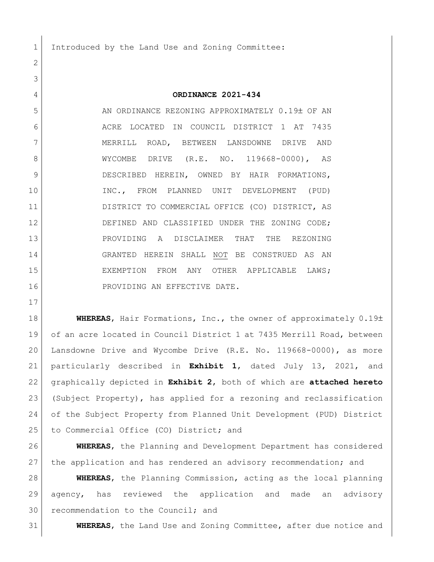1 Introduced by the Land Use and Zoning Committee:

## **ORDINANCE 2021-434**

5 AN ORDINANCE REZONING APPROXIMATELY 0.19± OF AN ACRE LOCATED IN COUNCIL DISTRICT 1 AT 7435 7 | MERRILL ROAD, BETWEEN LANSDOWNE DRIVE AND 8 WYCOMBE DRIVE (R.E. NO. 119668-0000), AS DESCRIBED HEREIN, OWNED BY HAIR FORMATIONS, INC., FROM PLANNED UNIT DEVELOPMENT (PUD) DISTRICT TO COMMERCIAL OFFICE (CO) DISTRICT, AS 12 DEFINED AND CLASSIFIED UNDER THE ZONING CODE; PROVIDING A DISCLAIMER THAT THE REZONING GRANTED HEREIN SHALL NOT BE CONSTRUED AS AN EXEMPTION FROM ANY OTHER APPLICABLE LAWS; 16 PROVIDING AN EFFECTIVE DATE.

**WHEREAS**, Hair Formations, Inc., the owner of approximately 0.19± of an acre located in Council District 1 at 7435 Merrill Road, between Lansdowne Drive and Wycombe Drive (R.E. No. 119668-0000), as more particularly described in **Exhibit 1**, dated July 13, 2021, and graphically depicted in **Exhibit 2**, both of which are **attached hereto** (Subject Property), has applied for a rezoning and reclassification of the Subject Property from Planned Unit Development (PUD) District 25 to Commercial Office (CO) District; and

 **WHEREAS**, the Planning and Development Department has considered 27 the application and has rendered an advisory recommendation; and

 **WHEREAS**, the Planning Commission, acting as the local planning agency, has reviewed the application and made an advisory 30 recommendation to the Council; and

**WHEREAS**, the Land Use and Zoning Committee, after due notice and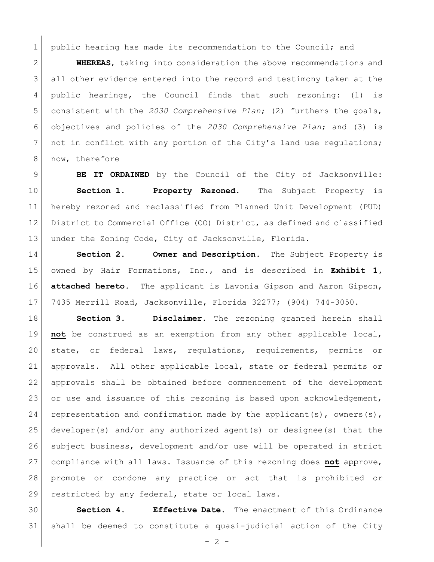1 public hearing has made its recommendation to the Council; and

 **WHEREAS**, taking into consideration the above recommendations and all other evidence entered into the record and testimony taken at the public hearings, the Council finds that such rezoning: (1) is consistent with the *2030 Comprehensive Plan*; (2) furthers the goals, objectives and policies of the *2030 Comprehensive Plan*; and (3) is 7 | not in conflict with any portion of the City's land use regulations; 8 | now, therefore

 **BE IT ORDAINED** by the Council of the City of Jacksonville: **Section 1. Property Rezoned.** The Subject Property is hereby rezoned and reclassified from Planned Unit Development (PUD) District to Commercial Office (CO) District, as defined and classified 13 under the Zoning Code, City of Jacksonville, Florida.

 **Section 2. Owner and Description.** The Subject Property is owned by Hair Formations, Inc., and is described in **Exhibit 1, attached hereto.** The applicant is Lavonia Gipson and Aaron Gipson, 7435 Merrill Road, Jacksonville, Florida 32277; (904) 744-3050.

 **Section 3. Disclaimer.** The rezoning granted herein shall **not** be construed as an exemption from any other applicable local, state, or federal laws, regulations, requirements, permits or approvals. All other applicable local, state or federal permits or approvals shall be obtained before commencement of the development 23 or use and issuance of this rezoning is based upon acknowledgement, 24 representation and confirmation made by the applicant(s), owners(s), developer(s) and/or any authorized agent(s) or designee(s) that the subject business, development and/or use will be operated in strict compliance with all laws. Issuance of this rezoning does **not** approve, promote or condone any practice or act that is prohibited or 29 restricted by any federal, state or local laws.

 **Section 4. Effective Date.** The enactment of this Ordinance shall be deemed to constitute a quasi-judicial action of the City

 $-2 -$